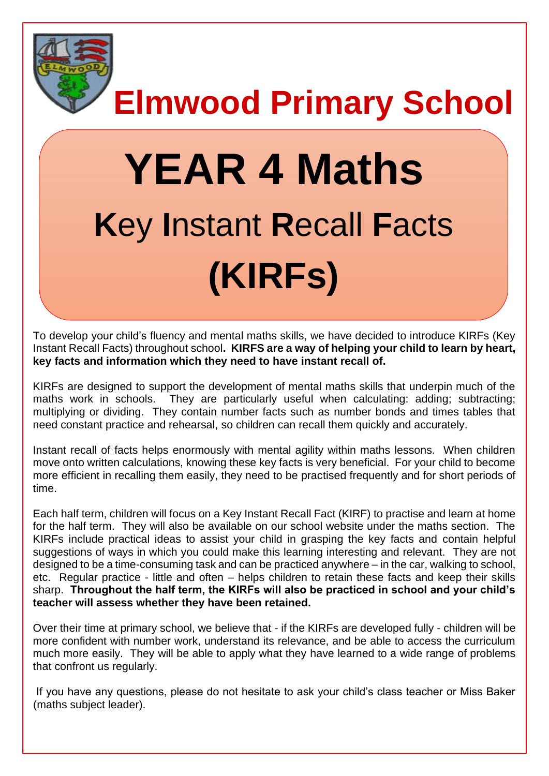

**Elmwood Primary School**

# **YEAR 4 Maths K**ey **I**nstant **R**ecall **F**acts **(KIRFs)**

To develop your child's fluency and mental maths skills, we have decided to introduce KIRFs (Key Instant Recall Facts) throughout school**. KIRFS are a way of helping your child to learn by heart, key facts and information which they need to have instant recall of.** 

KIRFs are designed to support the development of mental maths skills that underpin much of the maths work in schools. They are particularly useful when calculating: adding; subtracting; multiplying or dividing. They contain number facts such as number bonds and times tables that need constant practice and rehearsal, so children can recall them quickly and accurately.

Instant recall of facts helps enormously with mental agility within maths lessons. When children move onto written calculations, knowing these key facts is very beneficial. For your child to become more efficient in recalling them easily, they need to be practised frequently and for short periods of time.

Each half term, children will focus on a Key Instant Recall Fact (KIRF) to practise and learn at home for the half term. They will also be available on our school website under the maths section. The KIRFs include practical ideas to assist your child in grasping the key facts and contain helpful suggestions of ways in which you could make this learning interesting and relevant.They are not designed to be a time-consuming task and can be practiced anywhere – in the car, walking to school, etc. Regular practice - little and often – helps children to retain these facts and keep their skills sharp. **Throughout the half term, the KIRFs will also be practiced in school and your child's teacher will assess whether they have been retained.** 

Over their time at primary school, we believe that - if the KIRFs are developed fully - children will be more confident with number work, understand its relevance, and be able to access the curriculum much more easily. They will be able to apply what they have learned to a wide range of problems that confront us regularly.

If you have any questions, please do not hesitate to ask your child's class teacher or Miss Baker (maths subject leader).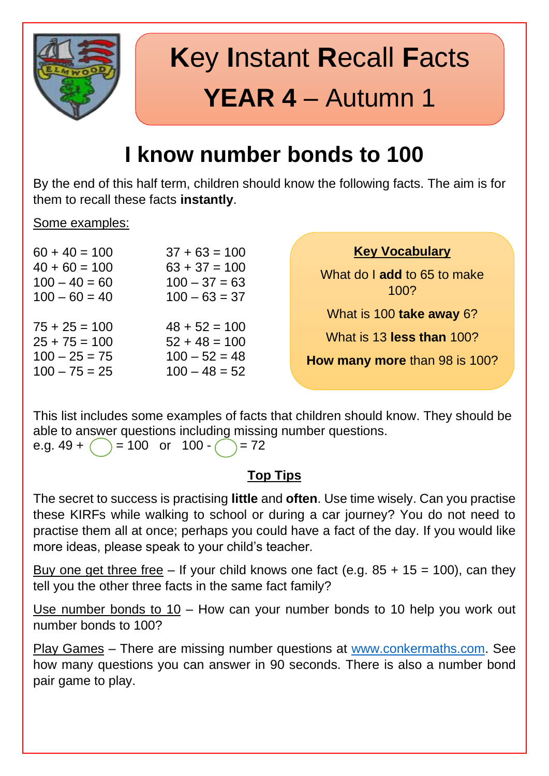

# **K**ey **I**nstant **R**ecall **F**acts **YEAR 4** – Autumn 1

### **I know number bonds to 100**

By the end of this half term, children should know the following facts. The aim is for them to recall these facts **instantly**.

#### Some examples:

| <b>Key Vocabulary</b>               | $37 + 63 = 100$                                       | $60 + 40 = 100$                                       |
|-------------------------------------|-------------------------------------------------------|-------------------------------------------------------|
| What do I add to 65 to make<br>100? | $63 + 37 = 100$<br>$100 - 37 = 63$<br>$100 - 63 = 37$ | $40 + 60 = 100$<br>$100 - 40 = 60$<br>$100 - 60 = 40$ |
| What is 100 take away 6?            |                                                       |                                                       |
| What is 13 less than 100?           | $48 + 52 = 100$<br>$52 + 48 = 100$                    | $75 + 25 = 100$<br>$25 + 75 = 100$                    |
| How many more than 98 is 100?       | $100 - 52 = 48$<br>$100 - 48 = 52$                    | $100 - 25 = 75$<br>$100 - 75 = 25$                    |
|                                     |                                                       |                                                       |

This list includes some examples of facts that children should know. They should be able to answer questions including missing number questions.

e.g.  $49 + ( ) = 100$  or  $100 - ( ) = 72$ 

#### **Top Tips**

The secret to success is practising **little** and **often**. Use time wisely. Can you practise these KIRFs while walking to school or during a car journey? You do not need to practise them all at once; perhaps you could have a fact of the day. If you would like more ideas, please speak to your child's teacher.

Buy one get three free – If your child knows one fact (e.g.  $85 + 15 = 100$ ), can they tell you the other three facts in the same fact family?

Use number bonds to 10 – How can your number bonds to 10 help you work out number bonds to 100?

Play Games – There are missing number questions at [www.conkermaths.com.](http://www.conkermaths.com/) See how many questions you can answer in 90 seconds. There is also a number bond pair game to play.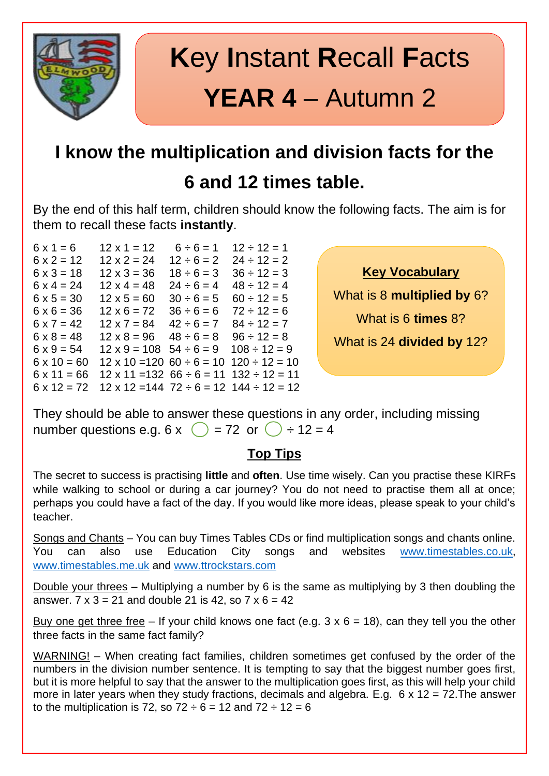

### **I know the multiplication and division facts for the**

### **6 and 12 times table.**

By the end of this half term, children should know the following facts. The aim is for them to recall these facts **instantly**.

 $6 \times 1 = 6$   $12 \times 1 = 12$   $6 \div 6 = 1$   $12 \div 12 = 1$  $6 \times 2 = 12$   $12 \times 2 = 24$   $12 \div 6 = 2$   $24 \div 12 = 2$  $6 \times 3 = 18$   $12 \times 3 = 36$   $18 \div 6 = 3$   $36 \div 12 = 3$  $6 \times 4 = 24$   $12 \times 4 = 48$   $24 \div 6 = 4$   $48 \div 12 = 4$  $6 \times 5 = 30$   $12 \times 5 = 60$   $30 \div 6 = 5$   $60 \div 12 = 5$  $6 \times 6 = 36$   $12 \times 6 = 72$   $36 \div 6 = 6$   $72 \div 12 = 6$  $6 \times 7 = 42$   $12 \times 7 = 84$   $42 \div 6 = 7$   $84 \div 12 = 7$  $6 \times 8 = 48$   $12 \times 8 = 96$   $48 \div 6 = 8$   $96 \div 12 = 8$  $6 \times 9 = 54$   $12 \times 9 = 108$   $54 \div 6 = 9$   $108 \div 12 = 9$  $6 \times 10 = 60$  12 x 10 = 120  $60 \div 6 = 10$  120  $\div 12 = 10$  $6 \times 11 = 66$  12 x 11 = 132  $66 \div 6 = 11$  132  $\div 12 = 11$  $6 \times 12 = 72$  12 x 12 = 144 72 ÷ 6 = 12 144 ÷ 12 = 12

**Key Vocabulary**

What is 8 **multiplied by** 6?

What is 6 **times** 8?

What is 24 **divided by** 12?

They should be able to answer these questions in any order, including missing number questions e.g.  $6 \times \bigcirc$  = 72 or  $\bigcirc$  ÷ 12 = 4

#### **Top Tips**

The secret to success is practising **little** and **often**. Use time wisely. Can you practise these KIRFs while walking to school or during a car journey? You do not need to practise them all at once; perhaps you could have a fact of the day. If you would like more ideas, please speak to your child's teacher.

Songs and Chants – You can buy Times Tables CDs or find multiplication songs and chants online. You can also use Education City songs and websites [www.timestables.co.uk,](http://www.timestables.co.uk/) [www.timestables.me.uk](http://www.timestables.me.uk/) and [www.ttrockstars.com](http://www.ttrockstars.com/)

Double your threes – Multiplying a number by 6 is the same as multiplying by 3 then doubling the answer.  $7 \times 3 = 21$  and double 21 is 42, so  $7 \times 6 = 42$ 

Buy one get three free – If your child knows one fact (e.g.  $3 \times 6 = 18$ ), can they tell you the other three facts in the same fact family?

WARNING! – When creating fact families, children sometimes get confused by the order of the numbers in the division number sentence. It is tempting to say that the biggest number goes first, but it is more helpful to say that the answer to the multiplication goes first, as this will help your child more in later years when they study fractions, decimals and algebra. E.g.  $6 \times 12 = 72$ . The answer to the multiplication is 72, so  $72 \div 6 = 12$  and  $72 \div 12 = 6$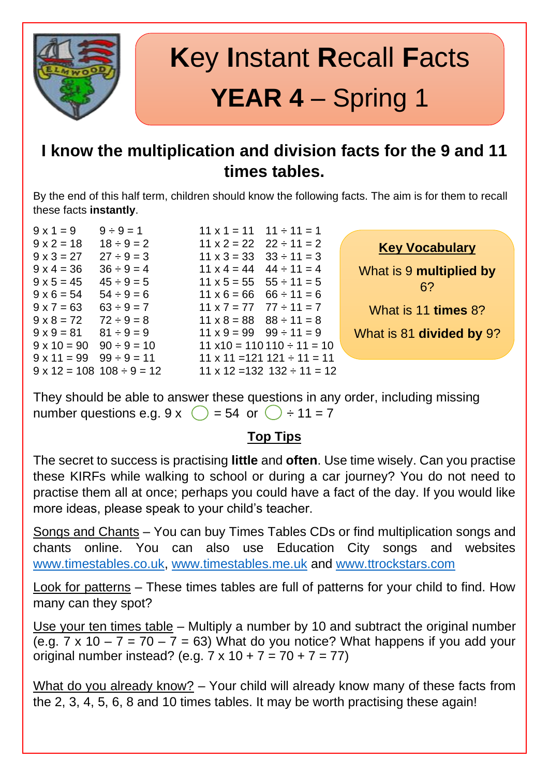

# **K**ey **I**nstant **R**ecall **F**acts **YEAR 4** – Spring 1

#### **I know the multiplication and division facts for the 9 and 11 times tables.**

By the end of this half term, children should know the following facts. The aim is for them to recall these facts **instantly**.

 $9 \times 4 = 36$   $36 \div 9 = 4$ 

 $9 \times 1 = 9$   $9 \div 9 = 1$   $11 \times 1 = 11$   $11 \div 11 = 1$  $9 \times 2 = 18$   $18 \div 9 = 2$   $11 \times 2 = 22$   $22 \div 11 = 2$  $9 \times 3 = 27$   $27 \div 9 = 3$   $11 \times 3 = 33$   $33 \div 11 = 3$ <br> $9 \times 4 = 36$   $36 \div 9 = 4$   $11 \times 4 = 44$   $44 \div 11 = 4$  $9 \times 5 = 45$   $45 \div 9 = 5$   $11 \times 5 = 55$   $55 \div 11 = 5$  $9 \times 6 = 54$   $54 \div 9 = 6$   $11 \times 6 = 66$   $66 \div 11 = 6$  $9 \times 7 = 63$   $63 \div 9 = 7$   $11 \times 7 = 77$   $77 \div 11 = 7$  $9 \times 8 = 72$   $72 \div 9 = 8$   $11 \times 8 = 88$   $88 \div 11 = 8$  $9 \times 9 = 81$   $81 \div 9 = 9$   $11 \times 9 = 99$   $99 \div 11 = 9$  $9 \times 10 = 90$   $90 \div 9 = 10$   $11 \times 10 = 110110 \div 11 = 10$  $9 \times 11 = 99$   $99 \div 9 = 11$  11 x 11 = 121 121  $\div 11 = 11$  $9 \times 12 = 108$   $108 \div 9 = 12$  11 x 12 = 132 132  $\div 11 = 12$ 



They should be able to answer these questions in any order, including missing number questions e.g.  $9 \times \bigcirc$  = 54 or  $\bigcirc$  ÷ 11 = 7

#### **Top Tips**

The secret to success is practising **little** and **often**. Use time wisely. Can you practise these KIRFs while walking to school or during a car journey? You do not need to practise them all at once; perhaps you could have a fact of the day. If you would like more ideas, please speak to your child's teacher.

Songs and Chants – You can buy Times Tables CDs or find multiplication songs and chants online. You can also use Education City songs and websites [www.timestables.co.uk,](http://www.timestables.co.uk/) [www.timestables.me.uk](http://www.timestables.me.uk/) and [www.ttrockstars.com](http://www.ttrockstars.com/)

Look for patterns – These times tables are full of patterns for your child to find. How many can they spot?

Use your ten times table – Multiply a number by 10 and subtract the original number (e.g.  $7 \times 10 - 7 = 70 - 7 = 63$ ) What do you notice? What happens if you add your original number instead? (e.g.  $7 \times 10 + 7 = 70 + 7 = 77$ )

What do you already know? – Your child will already know many of these facts from the 2, 3, 4, 5, 6, 8 and 10 times tables. It may be worth practising these again!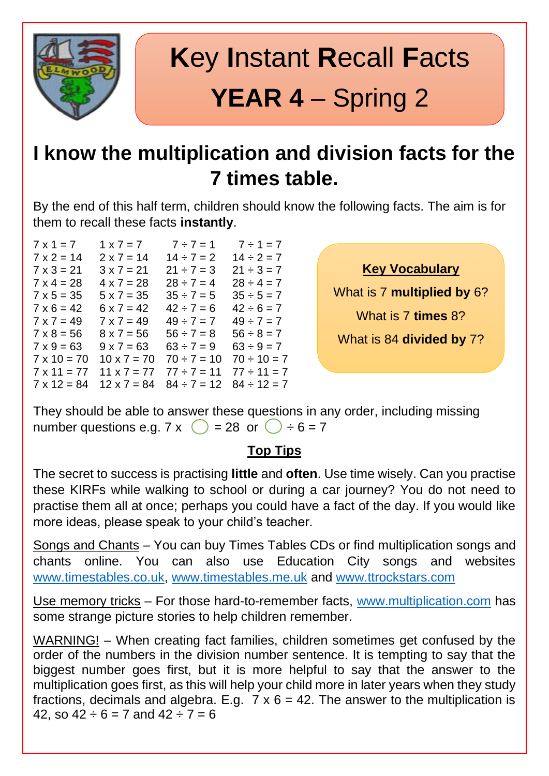

# **K**ey **I**nstant **R**ecall **F**acts **YEAR 4** – Spring 2

### **I know the multiplication and division facts for the 7 times table.**

By the end of this half term, children should know the following facts. The aim is for them to recall these facts **instantly**.

| $7 \times 1 = 7$   | $1 \times 7 = 7$   | $7 \div 7 = 1$   | $7 \div 1 = 7$   |
|--------------------|--------------------|------------------|------------------|
| $7 \times 2 = 14$  | $2 \times 7 = 14$  | $14 \div 7 = 2$  | $14 \div 2 = 7$  |
| $7 \times 3 = 21$  | $3 \times 7 = 21$  | $21 \div 7 = 3$  | $21 \div 3 = 7$  |
| $7 \times 4 = 28$  | $4 \times 7 = 28$  | $28 \div 7 = 4$  | $28 \div 4 = 7$  |
| $7 \times 5 = 35$  | $5 x 7 = 35$       | $35 \div 7 = 5$  | $35 \div 5 = 7$  |
| $7 \times 6 = 42$  | $6 \times 7 = 42$  | $42 \div 7 = 6$  | $42 \div 6 = 7$  |
| $7 \times 7 = 49$  | $7 \times 7 = 49$  | $49 \div 7 = 7$  | $49 \div 7 = 7$  |
| $7 \times 8 = 56$  | $8 \times 7 = 56$  | $56 \div 7 = 8$  | $56 \div 8 = 7$  |
| $7 \times 9 = 63$  | $9 \times 7 = 63$  | $63 \div 7 = 9$  | $63 \div 9 = 7$  |
| $7 \times 10 = 70$ | $10 \times 7 = 70$ | $70 \div 7 = 10$ | $70 \div 10 = 7$ |
| $7 \times 11 = 77$ | $11 \times 7 = 77$ | $77 \div 7 = 11$ | $77 \div 11 = 7$ |
| $7 \times 12 = 84$ | $12 \times 7 = 84$ | $84 \div 7 = 12$ | $84 \div 12 = 7$ |

**Key Vocabulary**

What is 7 **multiplied by** 6?

What is 7 **times** 8?

What is 84 **divided by** 7?

They should be able to answer these questions in any order, including missing number questions e.g.  $7 \times \bigcirc$  = 28 or  $\bigcirc$  ÷ 6 = 7

#### **Top Tips**

The secret to success is practising **little** and **often**. Use time wisely. Can you practise these KIRFs while walking to school or during a car journey? You do not need to practise them all at once; perhaps you could have a fact of the day. If you would like more ideas, please speak to your child's teacher.

Songs and Chants – You can buy Times Tables CDs or find multiplication songs and chants online. You can also use Education City songs and websites [www.timestables.co.uk,](http://www.timestables.co.uk/) [www.timestables.me.uk](http://www.timestables.me.uk/) and [www.ttrockstars.com](http://www.ttrockstars.com/)

Use memory tricks - For those hard-to-remember facts, [www.multiplication.com](http://www.multiplication.com/) has some strange picture stories to help children remember.

WARNING! – When creating fact families, children sometimes get confused by the order of the numbers in the division number sentence. It is tempting to say that the biggest number goes first, but it is more helpful to say that the answer to the multiplication goes first, as this will help your child more in later years when they study fractions, decimals and algebra. E.g.  $7 \times 6 = 42$ . The answer to the multiplication is 42, so  $42 \div 6 = 7$  and  $42 \div 7 = 6$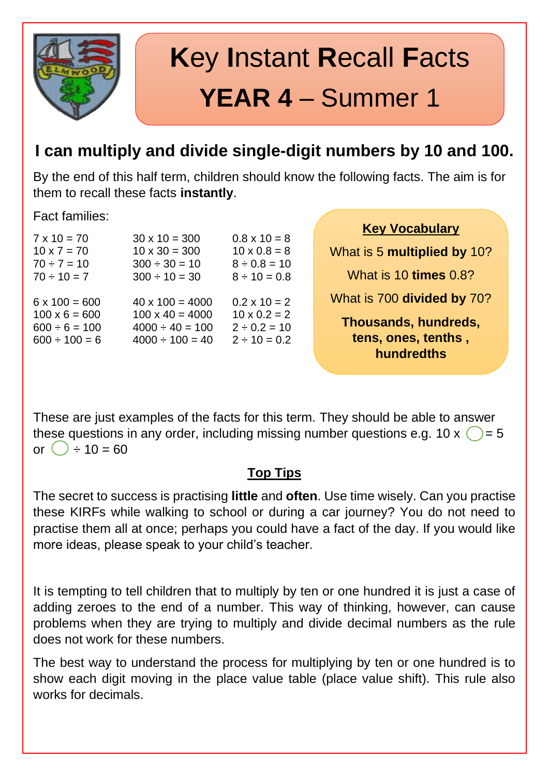

# **K**ey **I**nstant **R**ecall **F**acts **YEAR 4** – Summer 1

### **I can multiply and divide single-digit numbers by 10 and 100.**

By the end of this half term, children should know the following facts. The aim is for them to recall these facts **instantly**.

Fact families:

| $7 \times 10 = 70$   | $30 \times 10 = 300$   | $0.8 \times 10 = 8$ |
|----------------------|------------------------|---------------------|
| $10 \times 7 = 70$   | $10 \times 30 = 300$   | $10 \times 0.8 = 8$ |
| $70 \div 7 = 10$     | $300 \div 30 = 10$     | $8 \div 0.8 = 10$   |
| $70 \div 10 = 7$     | $300 \div 10 = 30$     | $8 \div 10 = 0.8$   |
| $6 \times 100 = 600$ | $40 \times 100 = 4000$ | $0.2 \times 10 = 2$ |
| $100 \times 6 = 600$ | $100 \times 40 = 4000$ | $10 \times 0.2 = 2$ |
| $600 \div 6 = 100$   | $4000 \div 40 = 100$   | $2 \div 0.2 = 10$   |
| $600 \div 100 = 6$   | $4000 \div 100 = 40$   | $2 \div 10 = 0.2$   |

**Key Vocabulary**

What is 5 **multiplied by** 10? What is 10 **times** 0.8? What is 700 **divided by** 70? **Thousands, hundreds, tens, ones, tenths , hundredths**

These are just examples of the facts for this term. They should be able to answer these questions in any order, including missing number questions e.g. 10 x  $\bigcirc$  = 5 or  $( ) \div 10 = 60$ 

#### **Top Tips**

The secret to success is practising **little** and **often**. Use time wisely. Can you practise these KIRFs while walking to school or during a car journey? You do not need to practise them all at once; perhaps you could have a fact of the day. If you would like more ideas, please speak to your child's teacher.

It is tempting to tell children that to multiply by ten or one hundred it is just a case of adding zeroes to the end of a number. This way of thinking, however, can cause problems when they are trying to multiply and divide decimal numbers as the rule does not work for these numbers.

The best way to understand the process for multiplying by ten or one hundred is to show each digit moving in the place value table (place value shift). This rule also works for decimals.